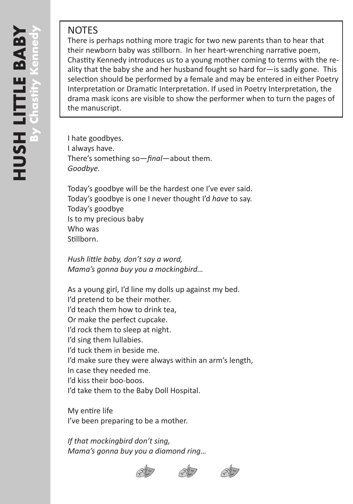## **NOTES**

There is perhaps nothing more tragic for two new parents than to hear that their newborn baby was stillborn. In her heart-wrenching narrative poem, Chastity Kennedy introduces us to a young mother coming to terms with the reality that the baby she and her husband fought so hard for—is sadly gone. This selection should be performed by a female and may be entered in either Poetry Interpretation or Dramatic Interpretation. If used in Poetry Interpretation, the drama mask icons are visible to show the performer when to turn the pages of the manuscript.

I hate goodbyes. I always have. There's something so—*final*—about them. *Goodbye.* 

Today's goodbye will be the hardest one I've ever said. Today's goodbye is one I never thought I'd *have* to say. Today's goodbye Is to my precious baby Who was Stillborn.

*Hush little baby, don't say a word, Mama's gonna buy you a mockingbird…*

As a young girl, I'd line my dolls up against my bed. I'd pretend to be their mother. I'd teach them how to drink tea, Or make the perfect cupcake. I'd rock them to sleep at night. I'd sing them lullabies. I'd tuck them in beside me. I'd make sure they were always within an arm's length, In case they needed me. I'd kiss their boo-boos. I'd take them to the Baby Doll Hospital.

My entire life I've been preparing to be a mother.

*If that mockingbird don't sing, Mama's gonna buy you a diamond ring…*